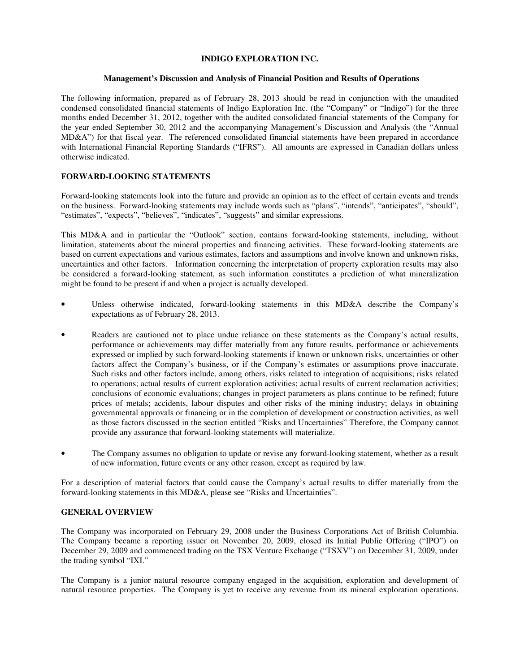# **INDIGO EXPLORATION INC.**

# **Management's Discussion and Analysis of Financial Position and Results of Operations**

The following information, prepared as of February 28, 2013 should be read in conjunction with the unaudited condensed consolidated financial statements of Indigo Exploration Inc. (the "Company" or "Indigo") for the three months ended December 31, 2012, together with the audited consolidated financial statements of the Company for the year ended September 30, 2012 and the accompanying Management's Discussion and Analysis (the "Annual MD&A") for that fiscal year. The referenced consolidated financial statements have been prepared in accordance with International Financial Reporting Standards ("IFRS"). All amounts are expressed in Canadian dollars unless otherwise indicated.

# **FORWARD-LOOKING STATEMENTS**

Forward-looking statements look into the future and provide an opinion as to the effect of certain events and trends on the business. Forward-looking statements may include words such as "plans", "intends", "anticipates", "should", "estimates", "expects", "believes", "indicates", "suggests" and similar expressions.

This MD&A and in particular the "Outlook" section, contains forward-looking statements, including, without limitation, statements about the mineral properties and financing activities. These forward-looking statements are based on current expectations and various estimates, factors and assumptions and involve known and unknown risks, uncertainties and other factors. Information concerning the interpretation of property exploration results may also be considered a forward-looking statement, as such information constitutes a prediction of what mineralization might be found to be present if and when a project is actually developed.

- Unless otherwise indicated, forward-looking statements in this MD&A describe the Company's expectations as of February 28, 2013.
- Readers are cautioned not to place undue reliance on these statements as the Company's actual results, performance or achievements may differ materially from any future results, performance or achievements expressed or implied by such forward-looking statements if known or unknown risks, uncertainties or other factors affect the Company's business, or if the Company's estimates or assumptions prove inaccurate. Such risks and other factors include, among others, risks related to integration of acquisitions; risks related to operations; actual results of current exploration activities; actual results of current reclamation activities; conclusions of economic evaluations; changes in project parameters as plans continue to be refined; future prices of metals; accidents, labour disputes and other risks of the mining industry; delays in obtaining governmental approvals or financing or in the completion of development or construction activities, as well as those factors discussed in the section entitled "Risks and Uncertainties" Therefore, the Company cannot provide any assurance that forward-looking statements will materialize.
- The Company assumes no obligation to update or revise any forward-looking statement, whether as a result of new information, future events or any other reason, except as required by law.

For a description of material factors that could cause the Company's actual results to differ materially from the forward-looking statements in this MD&A, please see "Risks and Uncertainties".

# **GENERAL OVERVIEW**

The Company was incorporated on February 29, 2008 under the Business Corporations Act of British Columbia. The Company became a reporting issuer on November 20, 2009, closed its Initial Public Offering ("IPO") on December 29, 2009 and commenced trading on the TSX Venture Exchange ("TSXV") on December 31, 2009, under the trading symbol "IXI."

The Company is a junior natural resource company engaged in the acquisition, exploration and development of natural resource properties. The Company is yet to receive any revenue from its mineral exploration operations.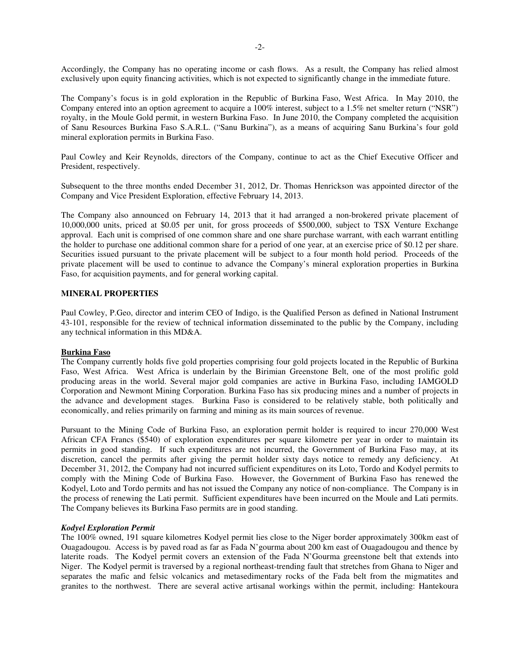Accordingly, the Company has no operating income or cash flows. As a result, the Company has relied almost exclusively upon equity financing activities, which is not expected to significantly change in the immediate future.

The Company's focus is in gold exploration in the Republic of Burkina Faso, West Africa. In May 2010, the Company entered into an option agreement to acquire a 100% interest, subject to a 1.5% net smelter return ("NSR") royalty, in the Moule Gold permit, in western Burkina Faso. In June 2010, the Company completed the acquisition of Sanu Resources Burkina Faso S.A.R.L. ("Sanu Burkina"), as a means of acquiring Sanu Burkina's four gold mineral exploration permits in Burkina Faso.

Paul Cowley and Keir Reynolds, directors of the Company, continue to act as the Chief Executive Officer and President, respectively.

Subsequent to the three months ended December 31, 2012, Dr. Thomas Henrickson was appointed director of the Company and Vice President Exploration, effective February 14, 2013.

The Company also announced on February 14, 2013 that it had arranged a non-brokered private placement of 10,000,000 units, priced at \$0.05 per unit, for gross proceeds of \$500,000, subject to TSX Venture Exchange approval. Each unit is comprised of one common share and one share purchase warrant, with each warrant entitling the holder to purchase one additional common share for a period of one year, at an exercise price of \$0.12 per share. Securities issued pursuant to the private placement will be subject to a four month hold period. Proceeds of the private placement will be used to continue to advance the Company's mineral exploration properties in Burkina Faso, for acquisition payments, and for general working capital.

## **MINERAL PROPERTIES**

Paul Cowley, P.Geo, director and interim CEO of Indigo, is the Qualified Person as defined in National Instrument 43-101, responsible for the review of technical information disseminated to the public by the Company, including any technical information in this MD&A.

## **Burkina Faso**

The Company currently holds five gold properties comprising four gold projects located in the Republic of Burkina Faso, West Africa. West Africa is underlain by the Birimian Greenstone Belt, one of the most prolific gold producing areas in the world. Several major gold companies are active in Burkina Faso, including IAMGOLD Corporation and Newmont Mining Corporation. Burkina Faso has six producing mines and a number of projects in the advance and development stages. Burkina Faso is considered to be relatively stable, both politically and economically, and relies primarily on farming and mining as its main sources of revenue.

Pursuant to the Mining Code of Burkina Faso, an exploration permit holder is required to incur 270,000 West African CFA Francs (\$540) of exploration expenditures per square kilometre per year in order to maintain its permits in good standing. If such expenditures are not incurred, the Government of Burkina Faso may, at its discretion, cancel the permits after giving the permit holder sixty days notice to remedy any deficiency. At December 31, 2012, the Company had not incurred sufficient expenditures on its Loto, Tordo and Kodyel permits to comply with the Mining Code of Burkina Faso. However, the Government of Burkina Faso has renewed the Kodyel, Loto and Tordo permits and has not issued the Company any notice of non-compliance. The Company is in the process of renewing the Lati permit. Sufficient expenditures have been incurred on the Moule and Lati permits. The Company believes its Burkina Faso permits are in good standing.

### *Kodyel Exploration Permit*

The 100% owned, 191 square kilometres Kodyel permit lies close to the Niger border approximately 300km east of Ouagadougou. Access is by paved road as far as Fada N'gourma about 200 km east of Ouagadougou and thence by laterite roads. The Kodyel permit covers an extension of the Fada N'Gourma greenstone belt that extends into Niger. The Kodyel permit is traversed by a regional northeast-trending fault that stretches from Ghana to Niger and separates the mafic and felsic volcanics and metasedimentary rocks of the Fada belt from the migmatites and granites to the northwest. There are several active artisanal workings within the permit, including: Hantekoura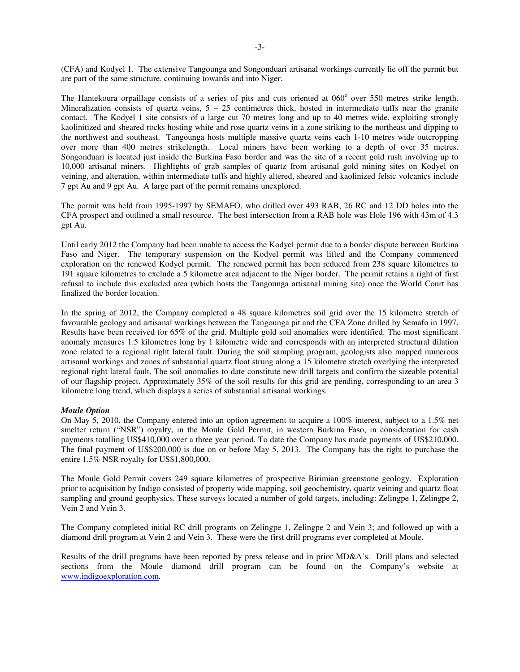(CFA) and Kodyel 1. The extensive Tangounga and Songonduari artisanal workings currently lie off the permit but are part of the same structure, continuing towards and into Niger.

The Hantekoura orpaillage consists of a series of pits and cuts oriented at 060° over 550 metres strike length. Mineralization consists of quartz veins,  $5 - 25$  centimetres thick, hosted in intermediate tuffs near the granite contact. The Kodyel 1 site consists of a large cut 70 metres long and up to 40 metres wide, exploiting strongly kaolinitized and sheared rocks hosting white and rose quartz veins in a zone striking to the northeast and dipping to the northwest and southeast. Tangounga hosts multiple massive quartz veins each 1-10 metres wide outcropping over more than 400 metres strikelength. Local miners have been working to a depth of over 35 metres. Songonduari is located just inside the Burkina Faso border and was the site of a recent gold rush involving up to 10,000 artisanal miners. Highlights of grab samples of quartz from artisanal gold mining sites on Kodyel on veining, and alteration, within intermediate tuffs and highly altered, sheared and kaolinized felsic volcanics include 7 gpt Au and 9 gpt Au. A large part of the permit remains unexplored.

The permit was held from 1995-1997 by SEMAFO, who drilled over 493 RAB, 26 RC and 12 DD holes into the CFA prospect and outlined a small resource. The best intersection from a RAB hole was Hole 196 with 43m of 4.3 gpt Au.

Until early 2012 the Company had been unable to access the Kodyel permit due to a border dispute between Burkina Faso and Niger. The temporary suspension on the Kodyel permit was lifted and the Company commenced exploration on the renewed Kodyel permit. The renewed permit has been reduced from 238 square kilometres to 191 square kilometres to exclude a 5 kilometre area adjacent to the Niger border. The permit retains a right of first refusal to include this excluded area (which hosts the Tangounga artisanal mining site) once the World Court has finalized the border location.

In the spring of 2012, the Company completed a 48 square kilometres soil grid over the 15 kilometre stretch of favourable geology and artisanal workings between the Tangounga pit and the CFA Zone drilled by Semafo in 1997. Results have been received for 65% of the grid. Multiple gold soil anomalies were identified. The most significant anomaly measures 1.5 kilometres long by 1 kilometre wide and corresponds with an interpreted structural dilation zone related to a regional right lateral fault. During the soil sampling program, geologists also mapped numerous artisanal workings and zones of substantial quartz float strung along a 15 kilometre stretch overlying the interpreted regional right lateral fault. The soil anomalies to date constitute new drill targets and confirm the sizeable potential of our flagship project. Approximately 35% of the soil results for this grid are pending, corresponding to an area 3 kilometre long trend, which displays a series of substantial artisanal workings.

## *Moule Option*

On May 5, 2010, the Company entered into an option agreement to acquire a 100% interest, subject to a 1.5% net smelter return ("NSR") royalty, in the Moule Gold Permit, in western Burkina Faso, in consideration for cash payments totalling US\$410,000 over a three year period. To date the Company has made payments of US\$210,000. The final payment of US\$200,000 is due on or before May 5, 2013. The Company has the right to purchase the entire 1.5% NSR royalty for US\$1,800,000.

The Moule Gold Permit covers 249 square kilometres of prospective Birimian greenstone geology. Exploration prior to acquisition by Indigo consisted of property wide mapping, soil geochemistry, quartz veining and quartz float sampling and ground geophysics. These surveys located a number of gold targets, including: Zelingpe 1, Zelingpe 2, Vein 2 and Vein 3.

The Company completed initial RC drill programs on Zelingpe 1, Zelingpe 2 and Vein 3; and followed up with a diamond drill program at Vein 2 and Vein 3. These were the first drill programs ever completed at Moule.

Results of the drill programs have been reported by press release and in prior MD&A's. Drill plans and selected sections from the Moule diamond drill program can be found on the Company's website at www.indigoexploration.com.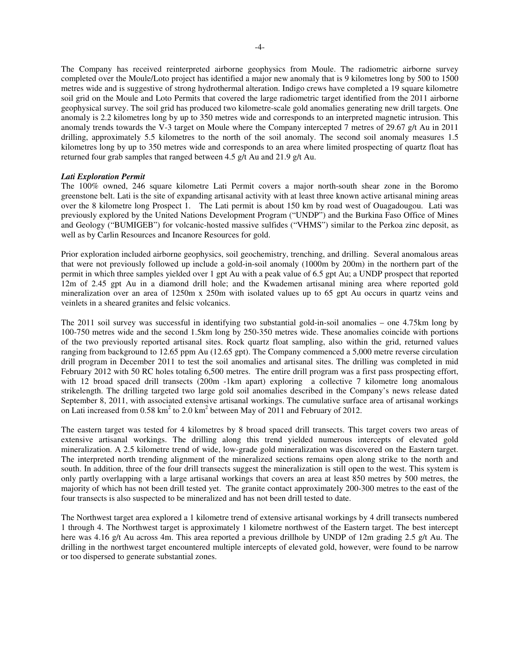The Company has received reinterpreted airborne geophysics from Moule. The radiometric airborne survey completed over the Moule/Loto project has identified a major new anomaly that is 9 kilometres long by 500 to 1500 metres wide and is suggestive of strong hydrothermal alteration. Indigo crews have completed a 19 square kilometre soil grid on the Moule and Loto Permits that covered the large radiometric target identified from the 2011 airborne geophysical survey. The soil grid has produced two kilometre-scale gold anomalies generating new drill targets. One anomaly is 2.2 kilometres long by up to 350 metres wide and corresponds to an interpreted magnetic intrusion. This anomaly trends towards the V-3 target on Moule where the Company intercepted 7 metres of 29.67 g/t Au in 2011 drilling, approximately 5.5 kilometres to the north of the soil anomaly. The second soil anomaly measures 1.5 kilometres long by up to 350 metres wide and corresponds to an area where limited prospecting of quartz float has returned four grab samples that ranged between 4.5 g/t Au and 21.9 g/t Au.

### *Lati Exploration Permit*

The 100% owned, 246 square kilometre Lati Permit covers a major north-south shear zone in the Boromo greenstone belt. Lati is the site of expanding artisanal activity with at least three known active artisanal mining areas over the 8 kilometre long Prospect 1. The Lati permit is about 150 km by road west of Ouagadougou. Lati was previously explored by the United Nations Development Program ("UNDP") and the Burkina Faso Office of Mines and Geology ("BUMIGEB") for volcanic-hosted massive sulfides ("VHMS") similar to the Perkoa zinc deposit, as well as by Carlin Resources and Incanore Resources for gold.

Prior exploration included airborne geophysics, soil geochemistry, trenching, and drilling. Several anomalous areas that were not previously followed up include a gold-in-soil anomaly (1000m by 200m) in the northern part of the permit in which three samples yielded over 1 gpt Au with a peak value of 6.5 gpt Au; a UNDP prospect that reported 12m of 2.45 gpt Au in a diamond drill hole; and the Kwademen artisanal mining area where reported gold mineralization over an area of 1250m x 250m with isolated values up to 65 gpt Au occurs in quartz veins and veinlets in a sheared granites and felsic volcanics.

The 2011 soil survey was successful in identifying two substantial gold-in-soil anomalies – one 4.75km long by 100-750 metres wide and the second 1.5km long by 250-350 metres wide. These anomalies coincide with portions of the two previously reported artisanal sites. Rock quartz float sampling, also within the grid, returned values ranging from background to 12.65 ppm Au (12.65 gpt). The Company commenced a 5,000 metre reverse circulation drill program in December 2011 to test the soil anomalies and artisanal sites. The drilling was completed in mid February 2012 with 50 RC holes totaling 6,500 metres. The entire drill program was a first pass prospecting effort, with 12 broad spaced drill transects (200m -1km apart) exploring a collective 7 kilometre long anomalous strikelength. The drilling targeted two large gold soil anomalies described in the Company's news release dated September 8, 2011, with associated extensive artisanal workings. The cumulative surface area of artisanal workings on Lati increased from  $0.58 \text{ km}^2$  to  $2.0 \text{ km}^2$  between May of 2011 and February of 2012.

The eastern target was tested for 4 kilometres by 8 broad spaced drill transects. This target covers two areas of extensive artisanal workings. The drilling along this trend yielded numerous intercepts of elevated gold mineralization. A 2.5 kilometre trend of wide, low-grade gold mineralization was discovered on the Eastern target. The interpreted north trending alignment of the mineralized sections remains open along strike to the north and south. In addition, three of the four drill transects suggest the mineralization is still open to the west. This system is only partly overlapping with a large artisanal workings that covers an area at least 850 metres by 500 metres, the majority of which has not been drill tested yet. The granite contact approximately 200-300 metres to the east of the four transects is also suspected to be mineralized and has not been drill tested to date.

The Northwest target area explored a 1 kilometre trend of extensive artisanal workings by 4 drill transects numbered 1 through 4. The Northwest target is approximately 1 kilometre northwest of the Eastern target. The best intercept here was 4.16 g/t Au across 4m. This area reported a previous drillhole by UNDP of 12m grading 2.5 g/t Au. The drilling in the northwest target encountered multiple intercepts of elevated gold, however, were found to be narrow or too dispersed to generate substantial zones.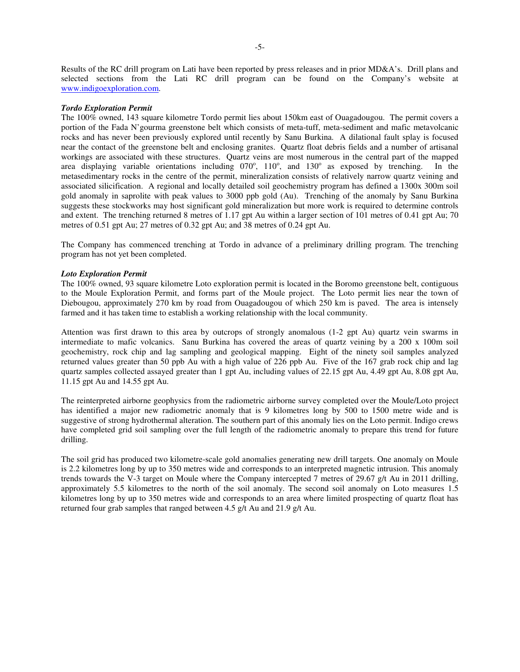Results of the RC drill program on Lati have been reported by press releases and in prior MD&A's. Drill plans and selected sections from the Lati RC drill program can be found on the Company's website at www.indigoexploration.com.

### *Tordo Exploration Permit*

The 100% owned, 143 square kilometre Tordo permit lies about 150km east of Ouagadougou. The permit covers a portion of the Fada N'gourma greenstone belt which consists of meta-tuff, meta-sediment and mafic metavolcanic rocks and has never been previously explored until recently by Sanu Burkina. A dilational fault splay is focused near the contact of the greenstone belt and enclosing granites. Quartz float debris fields and a number of artisanal workings are associated with these structures. Quartz veins are most numerous in the central part of the mapped area displaying variable orientations including  $070^\circ$ ,  $110^\circ$ , and  $130^\circ$  as exposed by trenching. In the metasedimentary rocks in the centre of the permit, mineralization consists of relatively narrow quartz veining and associated silicification. A regional and locally detailed soil geochemistry program has defined a 1300x 300m soil gold anomaly in saprolite with peak values to 3000 ppb gold (Au). Trenching of the anomaly by Sanu Burkina suggests these stockworks may host significant gold mineralization but more work is required to determine controls and extent. The trenching returned 8 metres of 1.17 gpt Au within a larger section of 101 metres of 0.41 gpt Au; 70 metres of 0.51 gpt Au; 27 metres of 0.32 gpt Au; and 38 metres of 0.24 gpt Au.

The Company has commenced trenching at Tordo in advance of a preliminary drilling program. The trenching program has not yet been completed.

#### *Loto Exploration Permit*

The 100% owned, 93 square kilometre Loto exploration permit is located in the Boromo greenstone belt, contiguous to the Moule Exploration Permit, and forms part of the Moule project. The Loto permit lies near the town of Diebougou, approximately 270 km by road from Ouagadougou of which 250 km is paved. The area is intensely farmed and it has taken time to establish a working relationship with the local community.

Attention was first drawn to this area by outcrops of strongly anomalous (1-2 gpt Au) quartz vein swarms in intermediate to mafic volcanics. Sanu Burkina has covered the areas of quartz veining by a 200 x 100m soil geochemistry, rock chip and lag sampling and geological mapping. Eight of the ninety soil samples analyzed returned values greater than 50 ppb Au with a high value of 226 ppb Au. Five of the 167 grab rock chip and lag quartz samples collected assayed greater than 1 gpt Au, including values of 22.15 gpt Au, 4.49 gpt Au, 8.08 gpt Au, 11.15 gpt Au and 14.55 gpt Au.

The reinterpreted airborne geophysics from the radiometric airborne survey completed over the Moule/Loto project has identified a major new radiometric anomaly that is 9 kilometres long by 500 to 1500 metre wide and is suggestive of strong hydrothermal alteration. The southern part of this anomaly lies on the Loto permit. Indigo crews have completed grid soil sampling over the full length of the radiometric anomaly to prepare this trend for future drilling.

The soil grid has produced two kilometre-scale gold anomalies generating new drill targets. One anomaly on Moule is 2.2 kilometres long by up to 350 metres wide and corresponds to an interpreted magnetic intrusion. This anomaly trends towards the V-3 target on Moule where the Company intercepted 7 metres of 29.67 g/t Au in 2011 drilling, approximately 5.5 kilometres to the north of the soil anomaly. The second soil anomaly on Loto measures 1.5 kilometres long by up to 350 metres wide and corresponds to an area where limited prospecting of quartz float has returned four grab samples that ranged between 4.5 g/t Au and 21.9 g/t Au.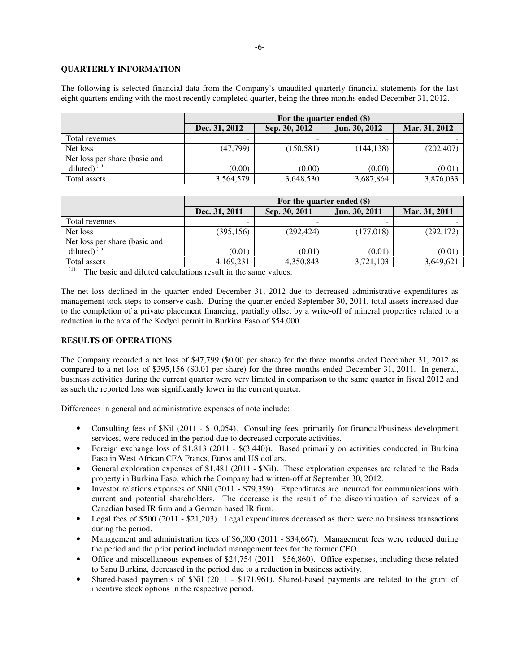# **QUARTERLY INFORMATION**

The following is selected financial data from the Company's unaudited quarterly financial statements for the last eight quarters ending with the most recently completed quarter, being the three months ended December 31, 2012.

|                               | For the quarter ended (\$) |               |               |               |
|-------------------------------|----------------------------|---------------|---------------|---------------|
|                               | Dec. 31, 2012              | Sep. 30, 2012 | Jun. 30, 2012 | Mar. 31, 2012 |
| Total revenues                |                            |               |               |               |
| Net loss                      | (47.799)                   | (150, 581)    | (144, 138)    | (202, 407)    |
| Net loss per share (basic and |                            |               |               |               |
| diluted) $^{(1)}$             | (0.00)                     | (0.00)        | (0.00)        | (0.01)        |
| Total assets                  | 3,564,579                  | 3,648,530     | 3,687,864     | 3,876,033     |

|                               | For the quarter ended $(\$)$ |               |               |               |
|-------------------------------|------------------------------|---------------|---------------|---------------|
|                               | Dec. 31, 2011                | Sep. 30, 2011 | Jun. 30, 2011 | Mar. 31, 2011 |
| Total revenues                |                              |               | -             |               |
| Net loss                      | (395, 156)                   | (292, 424)    | (177, 018)    | (292, 172)    |
| Net loss per share (basic and |                              |               |               |               |
| diluted $\tilde{C}^{(1)}$     | (0.01)                       | (0.01)        | (0.01)        | (0.01)        |
| Total assets                  | 4,169,231                    | 4,350,843     | 3,721,103     | 3,649,621     |

(1) The basic and diluted calculations result in the same values.

The net loss declined in the quarter ended December 31, 2012 due to decreased administrative expenditures as management took steps to conserve cash. During the quarter ended September 30, 2011, total assets increased due to the completion of a private placement financing, partially offset by a write-off of mineral properties related to a reduction in the area of the Kodyel permit in Burkina Faso of \$54,000.

# **RESULTS OF OPERATIONS**

The Company recorded a net loss of \$47,799 (\$0.00 per share) for the three months ended December 31, 2012 as compared to a net loss of \$395,156 (\$0.01 per share) for the three months ended December 31, 2011. In general, business activities during the current quarter were very limited in comparison to the same quarter in fiscal 2012 and as such the reported loss was significantly lower in the current quarter.

Differences in general and administrative expenses of note include:

- Consulting fees of \$Nil (2011 \$10,054). Consulting fees, primarily for financial/business development services, were reduced in the period due to decreased corporate activities.
- Foreign exchange loss of \$1,813 (2011 \$(3,440)). Based primarily on activities conducted in Burkina Faso in West African CFA Francs, Euros and US dollars.
- General exploration expenses of \$1,481 (2011 \$Nil). These exploration expenses are related to the Bada property in Burkina Faso, which the Company had written-off at September 30, 2012.
- Investor relations expenses of \$Nil (2011 \$79,359). Expenditures are incurred for communications with current and potential shareholders. The decrease is the result of the discontinuation of services of a Canadian based IR firm and a German based IR firm.
- Legal fees of  $$500 (2011 $21,203)$ . Legal expenditures decreased as there were no business transactions during the period.
- Management and administration fees of \$6,000 (2011 \$34,667). Management fees were reduced during the period and the prior period included management fees for the former CEO.
- Office and miscellaneous expenses of \$24,754 (2011 \$56,860). Office expenses, including those related to Sanu Burkina, decreased in the period due to a reduction in business activity.
- Shared-based payments of \$Nil (2011 \$171,961). Shared-based payments are related to the grant of incentive stock options in the respective period.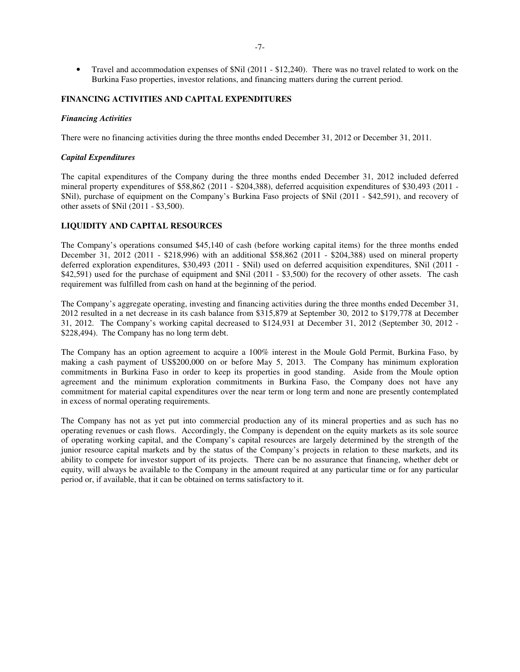• Travel and accommodation expenses of \$Nil (2011 - \$12,240). There was no travel related to work on the Burkina Faso properties, investor relations, and financing matters during the current period.

### **FINANCING ACTIVITIES AND CAPITAL EXPENDITURES**

#### *Financing Activities*

There were no financing activities during the three months ended December 31, 2012 or December 31, 2011.

### *Capital Expenditures*

The capital expenditures of the Company during the three months ended December 31, 2012 included deferred mineral property expenditures of \$58,862 (2011 - \$204,388), deferred acquisition expenditures of \$30,493 (2011 - \$Nil), purchase of equipment on the Company's Burkina Faso projects of \$Nil (2011 - \$42,591), and recovery of other assets of \$Nil (2011 - \$3,500).

## **LIQUIDITY AND CAPITAL RESOURCES**

The Company's operations consumed \$45,140 of cash (before working capital items) for the three months ended December 31, 2012 (2011 - \$218,996) with an additional \$58,862 (2011 - \$204,388) used on mineral property deferred exploration expenditures, \$30,493 (2011 - \$Nil) used on deferred acquisition expenditures, \$Nil (2011 -\$42,591) used for the purchase of equipment and \$Nil (2011 - \$3,500) for the recovery of other assets. The cash requirement was fulfilled from cash on hand at the beginning of the period.

The Company's aggregate operating, investing and financing activities during the three months ended December 31, 2012 resulted in a net decrease in its cash balance from \$315,879 at September 30, 2012 to \$179,778 at December 31, 2012. The Company's working capital decreased to \$124,931 at December 31, 2012 (September 30, 2012 - \$228,494). The Company has no long term debt.

The Company has an option agreement to acquire a 100% interest in the Moule Gold Permit, Burkina Faso, by making a cash payment of US\$200,000 on or before May 5, 2013. The Company has minimum exploration commitments in Burkina Faso in order to keep its properties in good standing. Aside from the Moule option agreement and the minimum exploration commitments in Burkina Faso, the Company does not have any commitment for material capital expenditures over the near term or long term and none are presently contemplated in excess of normal operating requirements.

The Company has not as yet put into commercial production any of its mineral properties and as such has no operating revenues or cash flows. Accordingly, the Company is dependent on the equity markets as its sole source of operating working capital, and the Company's capital resources are largely determined by the strength of the junior resource capital markets and by the status of the Company's projects in relation to these markets, and its ability to compete for investor support of its projects. There can be no assurance that financing, whether debt or equity, will always be available to the Company in the amount required at any particular time or for any particular period or, if available, that it can be obtained on terms satisfactory to it.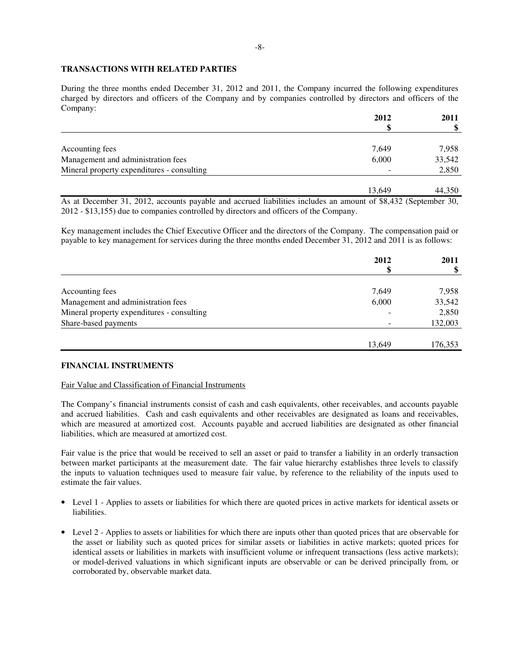### **TRANSACTIONS WITH RELATED PARTIES**

During the three months ended December 31, 2012 and 2011, the Company incurred the following expenditures charged by directors and officers of the Company and by companies controlled by directors and officers of the Company:

|                                            | 2012   | 2011   |
|--------------------------------------------|--------|--------|
|                                            |        |        |
| Accounting fees                            | 7,649  | 7,958  |
| Management and administration fees         | 6,000  | 33,542 |
| Mineral property expenditures - consulting |        | 2,850  |
|                                            | 13.649 | 44,350 |

As at December 31, 2012, accounts payable and accrued liabilities includes an amount of \$8,432 (September 30, 2012 - \$13,155) due to companies controlled by directors and officers of the Company.

Key management includes the Chief Executive Officer and the directors of the Company. The compensation paid or payable to key management for services during the three months ended December 31, 2012 and 2011 is as follows:

|                                            | 2012   | 2011    |
|--------------------------------------------|--------|---------|
|                                            |        |         |
| Accounting fees                            | 7,649  | 7,958   |
| Management and administration fees         | 6,000  | 33,542  |
| Mineral property expenditures - consulting |        | 2,850   |
| Share-based payments                       |        | 132,003 |
|                                            |        |         |
|                                            | 13,649 | 176,353 |

# **FINANCIAL INSTRUMENTS**

### Fair Value and Classification of Financial Instruments

The Company's financial instruments consist of cash and cash equivalents, other receivables, and accounts payable and accrued liabilities. Cash and cash equivalents and other receivables are designated as loans and receivables, which are measured at amortized cost. Accounts payable and accrued liabilities are designated as other financial liabilities, which are measured at amortized cost.

Fair value is the price that would be received to sell an asset or paid to transfer a liability in an orderly transaction between market participants at the measurement date. The fair value hierarchy establishes three levels to classify the inputs to valuation techniques used to measure fair value, by reference to the reliability of the inputs used to estimate the fair values.

- Level 1 Applies to assets or liabilities for which there are quoted prices in active markets for identical assets or liabilities.
- Level 2 Applies to assets or liabilities for which there are inputs other than quoted prices that are observable for the asset or liability such as quoted prices for similar assets or liabilities in active markets; quoted prices for identical assets or liabilities in markets with insufficient volume or infrequent transactions (less active markets); or model-derived valuations in which significant inputs are observable or can be derived principally from, or corroborated by, observable market data.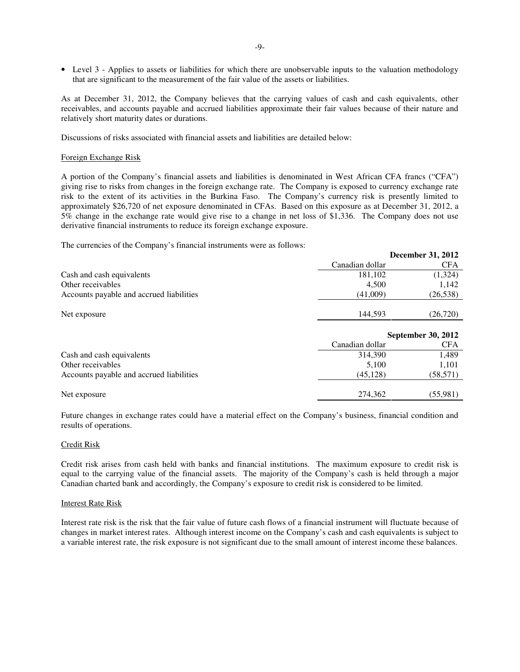• Level 3 - Applies to assets or liabilities for which there are unobservable inputs to the valuation methodology that are significant to the measurement of the fair value of the assets or liabilities.

As at December 31, 2012, the Company believes that the carrying values of cash and cash equivalents, other receivables, and accounts payable and accrued liabilities approximate their fair values because of their nature and relatively short maturity dates or durations.

Discussions of risks associated with financial assets and liabilities are detailed below:

#### Foreign Exchange Risk

A portion of the Company's financial assets and liabilities is denominated in West African CFA francs ("CFA") giving rise to risks from changes in the foreign exchange rate. The Company is exposed to currency exchange rate risk to the extent of its activities in the Burkina Faso. The Company's currency risk is presently limited to approximately \$26,720 of net exposure denominated in CFAs. Based on this exposure as at December 31, 2012, a 5% change in the exchange rate would give rise to a change in net loss of \$1,336. The Company does not use derivative financial instruments to reduce its foreign exchange exposure.

**December 31, 2012** 

The currencies of the Company's financial instruments were as follows:

|                                          | Deteniner $J_1, 2012$ |                    |  |
|------------------------------------------|-----------------------|--------------------|--|
|                                          | Canadian dollar       | <b>CFA</b>         |  |
| Cash and cash equivalents                | 181,102               | (1,324)            |  |
| Other receivables                        | 4,500                 | 1,142              |  |
| Accounts payable and accrued liabilities | (41,009)              | (26, 538)          |  |
|                                          |                       |                    |  |
| Net exposure                             | 144,593               | (26, 720)          |  |
|                                          |                       |                    |  |
|                                          |                       | September 30, 2012 |  |
|                                          | Canadian dollar       | <b>CFA</b>         |  |
| Cash and cash equivalents                | 314,390               | 1,489              |  |
| Other receivables                        | 5,100                 | 1,101              |  |
| Accounts payable and accrued liabilities | (45, 128)             | (58, 571)          |  |
|                                          |                       |                    |  |
|                                          |                       |                    |  |

Future changes in exchange rates could have a material effect on the Company's business, financial condition and results of operations.

#### Credit Risk

Credit risk arises from cash held with banks and financial institutions. The maximum exposure to credit risk is equal to the carrying value of the financial assets. The majority of the Company's cash is held through a major Canadian charted bank and accordingly, the Company's exposure to credit risk is considered to be limited.

#### Interest Rate Risk

Interest rate risk is the risk that the fair value of future cash flows of a financial instrument will fluctuate because of changes in market interest rates. Although interest income on the Company's cash and cash equivalents is subject to a variable interest rate, the risk exposure is not significant due to the small amount of interest income these balances.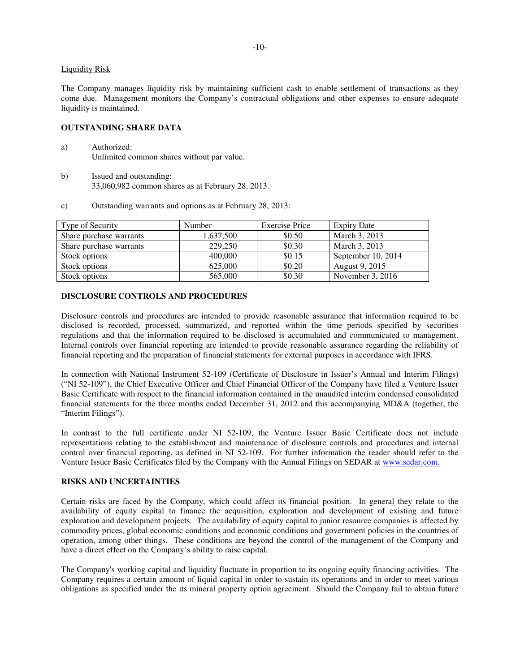### Liquidity Risk

The Company manages liquidity risk by maintaining sufficient cash to enable settlement of transactions as they come due. Management monitors the Company's contractual obligations and other expenses to ensure adequate liquidity is maintained.

### **OUTSTANDING SHARE DATA**

- a) Authorized: Unlimited common shares without par value.
- b) Issued and outstanding: 33,060,982 common shares as at February 28, 2013.
- c) Outstanding warrants and options as at February 28, 2013:

| Type of Security        | Number    | <b>Exercise Price</b> | <b>Expiry Date</b> |
|-------------------------|-----------|-----------------------|--------------------|
| Share purchase warrants | 1,637,500 | \$0.50                | March 3, 2013      |
| Share purchase warrants | 229,250   | \$0.30                | March 3, 2013      |
| Stock options           | 400,000   | \$0.15                | September 10, 2014 |
| Stock options           | 625,000   | \$0.20                | August 9, 2015     |
| Stock options           | 565,000   | \$0.30                | November $3, 2016$ |

## **DISCLOSURE CONTROLS AND PROCEDURES**

Disclosure controls and procedures are intended to provide reasonable assurance that information required to be disclosed is recorded, processed, summarized, and reported within the time periods specified by securities regulations and that the information required to be disclosed is accumulated and communicated to management. Internal controls over financial reporting are intended to provide reasonable assurance regarding the reliability of financial reporting and the preparation of financial statements for external purposes in accordance with IFRS.

In connection with National Instrument 52-109 (Certificate of Disclosure in Issuer's Annual and Interim Filings) ("NI 52-109"), the Chief Executive Officer and Chief Financial Officer of the Company have filed a Venture Issuer Basic Certificate with respect to the financial information contained in the unaudited interim condensed consolidated financial statements for the three months ended December 31, 2012 and this accompanying MD&A (together, the "Interim Filings").

In contrast to the full certificate under NI 52-109, the Venture Issuer Basic Certificate does not include representations relating to the establishment and maintenance of disclosure controls and procedures and internal control over financial reporting, as defined in NI 52-109. For further information the reader should refer to the Venture Issuer Basic Certificates filed by the Company with the Annual Filings on SEDAR at www.sedar.com.

### **RISKS AND UNCERTAINTIES**

Certain risks are faced by the Company, which could affect its financial position. In general they relate to the availability of equity capital to finance the acquisition, exploration and development of existing and future exploration and development projects. The availability of equity capital to junior resource companies is affected by commodity prices, global economic conditions and economic conditions and government policies in the countries of operation, among other things. These conditions are beyond the control of the management of the Company and have a direct effect on the Company's ability to raise capital.

The Company's working capital and liquidity fluctuate in proportion to its ongoing equity financing activities. The Company requires a certain amount of liquid capital in order to sustain its operations and in order to meet various obligations as specified under the its mineral property option agreement. Should the Company fail to obtain future